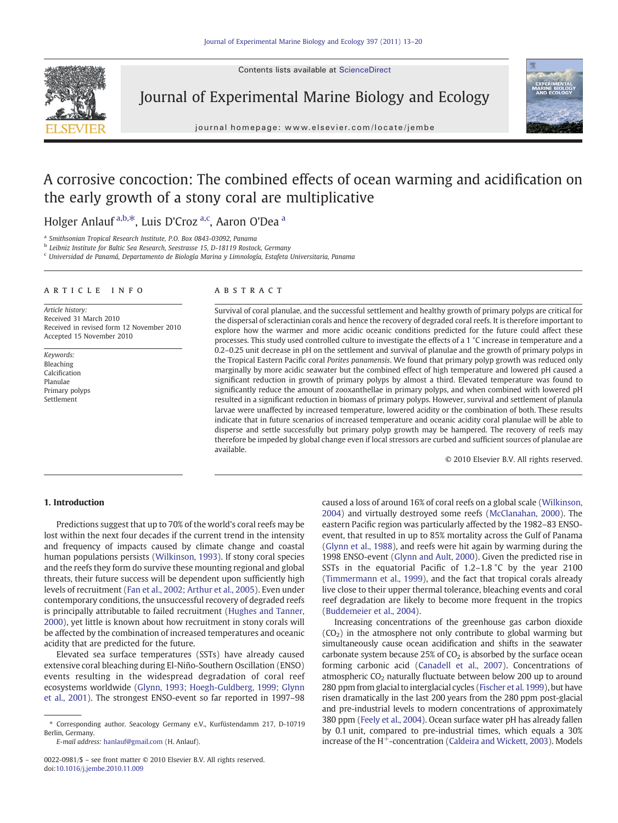Contents lists available at ScienceDirect



Journal of Experimental Marine Biology and Ecology

journal homepage: www.elsevier.com/locate/jembe



# A corrosive concoction: The combined effects of ocean warming and acidification on the early growth of a stony coral are multiplicative

Holger Anlauf <sup>a,b,\*</sup>, Luis D'Croz <sup>a,c</sup>, Aaron O'Dea <sup>a</sup>

<sup>a</sup> Smithsonian Tropical Research Institute, P.O. Box 0843-03092, Panama

<sup>b</sup> Leibniz Institute for Baltic Sea Research, Seestrasse 15, D-18119 Rostock, Germany

<sup>c</sup> Universidad de Panamá, Departamento de Biología Marina y Limnología, Estafeta Universitaria, Panama

#### article info abstract

Article history: Received 31 March 2010 Received in revised form 12 November 2010 Accepted 15 November 2010

Keywords: Bleaching Calcification Planulae Primary polyps Settlement

Survival of coral planulae, and the successful settlement and healthy growth of primary polyps are critical for the dispersal of scleractinian corals and hence the recovery of degraded coral reefs. It is therefore important to explore how the warmer and more acidic oceanic conditions predicted for the future could affect these processes. This study used controlled culture to investigate the effects of a 1 °C increase in temperature and a 0.2–0.25 unit decrease in pH on the settlement and survival of planulae and the growth of primary polyps in the Tropical Eastern Pacific coral Porites panamensis. We found that primary polyp growth was reduced only marginally by more acidic seawater but the combined effect of high temperature and lowered pH caused a significant reduction in growth of primary polyps by almost a third. Elevated temperature was found to significantly reduce the amount of zooxanthellae in primary polyps, and when combined with lowered pH resulted in a significant reduction in biomass of primary polyps. However, survival and settlement of planula larvae were unaffected by increased temperature, lowered acidity or the combination of both. These results indicate that in future scenarios of increased temperature and oceanic acidity coral planulae will be able to disperse and settle successfully but primary polyp growth may be hampered. The recovery of reefs may therefore be impeded by global change even if local stressors are curbed and sufficient sources of planulae are available.

© 2010 Elsevier B.V. All rights reserved.

# 1. Introduction

Predictions suggest that up to 70% of the world's coral reefs may be lost within the next four decades if the current trend in the intensity and frequency of impacts caused by climate change and coastal human populations persists ([Wilkinson, 1993\)](#page-7-0). If stony coral species and the reefs they form do survive these mounting regional and global threats, their future success will be dependent upon sufficiently high levels of recruitment ([Fan et al., 2002; Arthur et al., 2005](#page-6-0)). Even under contemporary conditions, the unsuccessful recovery of degraded reefs is principally attributable to failed recruitment [\(Hughes and Tanner,](#page-6-0) [2000\)](#page-6-0), yet little is known about how recruitment in stony corals will be affected by the combination of increased temperatures and oceanic acidity that are predicted for the future.

Elevated sea surface temperatures (SSTs) have already caused extensive coral bleaching during El-Niño-Southern Oscillation (ENSO) events resulting in the widespread degradation of coral reef ecosystems worldwide ([Glynn, 1993; Hoegh-Guldberg, 1999; Glynn](#page-6-0) [et al., 2001](#page-6-0)). The strongest ENSO-event so far reported in 1997–98

E-mail address: [hanlauf@gmail.com](mailto:hanlauf@gmail.com) (H. Anlauf).

caused a loss of around 16% of coral reefs on a global scale ([Wilkinson,](#page-7-0) [2004\)](#page-7-0) and virtually destroyed some reefs ([McClanahan, 2000\)](#page-6-0). The eastern Pacific region was particularly affected by the 1982–83 ENSOevent, that resulted in up to 85% mortality across the Gulf of Panama [\(Glynn et al., 1988](#page-6-0)), and reefs were hit again by warming during the 1998 ENSO-event [\(Glynn and Ault, 2000](#page-6-0)). Given the predicted rise in SSTs in the equatorial Pacific of 1.2–1.8 °C by the year 2100 [\(Timmermann et al., 1999](#page-7-0)), and the fact that tropical corals already live close to their upper thermal tolerance, bleaching events and coral reef degradation are likely to become more frequent in the tropics [\(Buddemeier et al., 2004\)](#page-6-0).

Increasing concentrations of the greenhouse gas carbon dioxide  $(CO<sub>2</sub>)$  in the atmosphere not only contribute to global warming but simultaneously cause ocean acidification and shifts in the seawater carbonate system because 25% of  $CO<sub>2</sub>$  is absorbed by the surface ocean forming carbonic acid [\(Canadell et al., 2007\)](#page-6-0). Concentrations of atmospheric CO<sub>2</sub> naturally fluctuate between below 200 up to around 280 ppm from glacial to interglacial cycles [\(Fischer et al. 1999](#page-6-0)), but have risen dramatically in the last 200 years from the 280 ppm post-glacial and pre-industrial levels to modern concentrations of approximately 380 ppm ([Feely et al., 2004](#page-6-0)). Ocean surface water pH has already fallen by 0.1 unit, compared to pre-industrial times, which equals a 30% increase of the H<sup>+</sup>-concentration [\(Caldeira and Wickett, 2003](#page-6-0)). Models

<sup>⁎</sup> Corresponding author. Seacology Germany e.V., Kurfüstendamm 217, D-10719 Berlin, Germany.

<sup>0022-0981/\$</sup> – see front matter © 2010 Elsevier B.V. All rights reserved. doi:[10.1016/j.jembe.2010.11.009](http://dx.doi.org/10.1016/j.jembe.2010.11.009)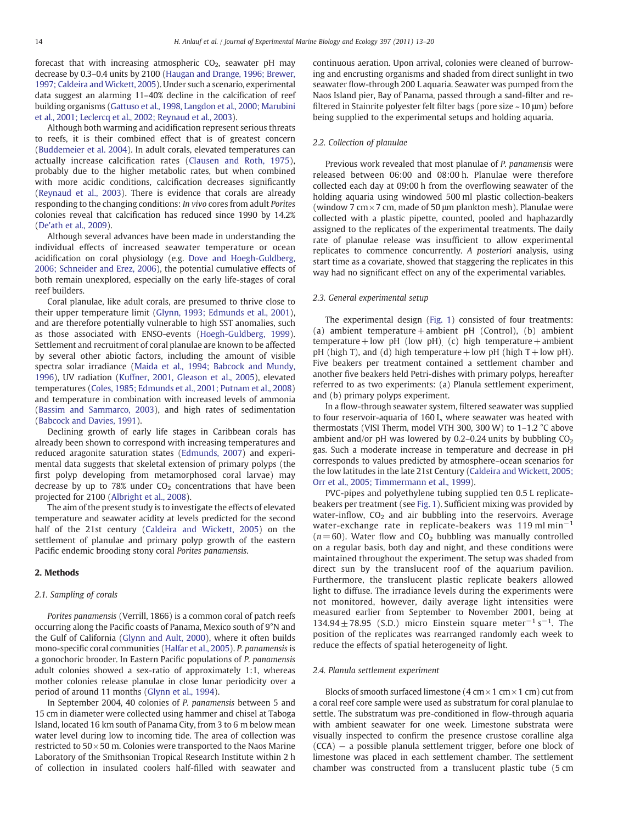forecast that with increasing atmospheric  $CO<sub>2</sub>$ , seawater pH may decrease by 0.3–0.4 units by 2100 [\(Haugan and Drange, 1996; Brewer,](#page-6-0) [1997; Caldeira and Wickett, 2005](#page-6-0)). Under such a scenario, experimental data suggest an alarming 11–40% decline in the calcification of reef building organisms ([Gattuso et al., 1998, Langdon et al., 2000; Marubini](#page-6-0) [et al., 2001; Leclercq et al., 2002; Reynaud et al., 2003\)](#page-6-0).

Although both warming and acidification represent serious threats to reefs, it is their combined effect that is of greatest concern [\(Buddemeier et al. 2004\)](#page-6-0). In adult corals, elevated temperatures can actually increase calcification rates [\(Clausen and Roth, 1975](#page-6-0)), probably due to the higher metabolic rates, but when combined with more acidic conditions, calcification decreases significantly [\(Reynaud et al., 2003\)](#page-7-0). There is evidence that corals are already responding to the changing conditions: In vivo cores from adult Porites colonies reveal that calcification has reduced since 1990 by 14.2% [\(De'ath et al., 2009](#page-6-0)).

Although several advances have been made in understanding the individual effects of increased seawater temperature or ocean acidification on coral physiology (e.g. [Dove and Hoegh-Guldberg,](#page-6-0) [2006; Schneider and Erez, 2006\)](#page-6-0), the potential cumulative effects of both remain unexplored, especially on the early life-stages of coral reef builders.

Coral planulae, like adult corals, are presumed to thrive close to their upper temperature limit ([Glynn, 1993; Edmunds et al., 2001](#page-6-0)), and are therefore potentially vulnerable to high SST anomalies, such as those associated with ENSO-events ([Hoegh-Guldberg, 1999](#page-6-0)). Settlement and recruitment of coral planulae are known to be affected by several other abiotic factors, including the amount of visible spectra solar irradiance ([Maida et al., 1994; Babcock and Mundy,](#page-6-0) [1996\)](#page-6-0), UV radiation ([Kuffner, 2001, Gleason et al., 2005](#page-6-0)), elevated temperatures ([Coles, 1985; Edmunds et al., 2001; Putnam et al., 2008](#page-6-0)) and temperature in combination with increased levels of ammonia [\(Bassim and Sammarco, 2003\)](#page-6-0), and high rates of sedimentation [\(Babcock and Davies, 1991\)](#page-5-0).

Declining growth of early life stages in Caribbean corals has already been shown to correspond with increasing temperatures and reduced aragonite saturation states [\(Edmunds, 2007](#page-6-0)) and experimental data suggests that skeletal extension of primary polyps (the first polyp developing from metamorphosed coral larvae) may decrease by up to 78% under  $CO<sub>2</sub>$  concentrations that have been projected for 2100 [\(Albright et al., 2008](#page-5-0)).

The aim of the present study is to investigate the effects of elevated temperature and seawater acidity at levels predicted for the second half of the 21st century [\(Caldeira and Wickett, 2005\)](#page-6-0) on the settlement of planulae and primary polyp growth of the eastern Pacific endemic brooding stony coral Porites panamensis.

# 2. Methods

#### 2.1. Sampling of corals

Porites panamensis (Verrill, 1866) is a common coral of patch reefs occurring along the Pacific coasts of Panama, Mexico south of 9°N and the Gulf of California [\(Glynn and Ault, 2000](#page-6-0)), where it often builds mono-specific coral communities ([Halfar et al., 2005](#page-6-0)). P. panamensis is a gonochoric brooder. In Eastern Pacific populations of P. panamensis adult colonies showed a sex-ratio of approximately 1:1, whereas mother colonies release planulae in close lunar periodicity over a period of around 11 months [\(Glynn et al., 1994\)](#page-6-0).

In September 2004, 40 colonies of P. panamensis between 5 and 15 cm in diameter were collected using hammer and chisel at Taboga Island, located 16 km south of Panama City, from 3 to 6 m below mean water level during low to incoming tide. The area of collection was restricted to  $50 \times 50$  m. Colonies were transported to the Naos Marine Laboratory of the Smithsonian Tropical Research Institute within 2 h of collection in insulated coolers half-filled with seawater and

continuous aeration. Upon arrival, colonies were cleaned of burrowing and encrusting organisms and shaded from direct sunlight in two seawater flow-through 200 L aquaria. Seawater was pumped from the Naos Island pier, Bay of Panama, passed through a sand-filter and refiltered in Stainrite polyester felt filter bags (pore size ~10 μm) before being supplied to the experimental setups and holding aquaria.

### 2.2. Collection of planulae

Previous work revealed that most planulae of P. panamensis were released between 06:00 and 08:00 h. Planulae were therefore collected each day at 09:00 h from the overflowing seawater of the holding aquaria using windowed 500 ml plastic collection-beakers (window 7 cm $\times$  7 cm, made of 50 µm plankton mesh). Planulae were collected with a plastic pipette, counted, pooled and haphazardly assigned to the replicates of the experimental treatments. The daily rate of planulae release was insufficient to allow experimental replicates to commence concurrently. A posteriori analysis, using start time as a covariate, showed that staggering the replicates in this way had no significant effect on any of the experimental variables.

# 2.3. General experimental setup

The experimental design [\(Fig. 1](#page-2-0)) consisted of four treatments: (a) ambient temperature + ambient pH (Control), (b) ambient temperature + low pH (low pH) (c) high temperature + ambient pH (high T), and (d) high temperature  $+$  low pH (high T  $+$  low pH). Five beakers per treatment contained a settlement chamber and another five beakers held Petri-dishes with primary polyps, hereafter referred to as two experiments: (a) Planula settlement experiment, and (b) primary polyps experiment.

In a flow-through seawater system, filtered seawater was supplied to four reservoir-aquaria of 160 L, where seawater was heated with thermostats (VISI Therm, model VTH 300, 300 W) to 1–1.2 °C above ambient and/or pH was lowered by  $0.2-0.24$  units by bubbling  $CO<sub>2</sub>$ gas. Such a moderate increase in temperature and decrease in pH corresponds to values predicted by atmosphere–ocean scenarios for the low latitudes in the late 21st Century ([Caldeira and Wickett, 2005;](#page-6-0) [Orr et al., 2005; Timmermann et al., 1999](#page-6-0)).

PVC-pipes and polyethylene tubing supplied ten 0.5 L replicatebeakers per treatment (see [Fig. 1](#page-2-0)). Sufficient mixing was provided by water-inflow,  $CO<sub>2</sub>$  and air bubbling into the reservoirs. Average water-exchange rate in replicate-beakers was 119 ml min−<sup>1</sup>  $(n= 60)$ . Water flow and CO<sub>2</sub> bubbling was manually controlled on a regular basis, both day and night, and these conditions were maintained throughout the experiment. The setup was shaded from direct sun by the translucent roof of the aquarium pavilion. Furthermore, the translucent plastic replicate beakers allowed light to diffuse. The irradiance levels during the experiments were not monitored, however, daily average light intensities were measured earlier from September to November 2001, being at  $134.94 \pm 78.95$  (S.D.) micro Einstein square meter<sup>-1</sup> s<sup>-1</sup>. The position of the replicates was rearranged randomly each week to reduce the effects of spatial heterogeneity of light.

#### 2.4. Planula settlement experiment

Blocks of smooth surfaced limestone (4 cm  $\times$  1 cm  $\times$  1 cm) cut from a coral reef core sample were used as substratum for coral planulae to settle. The substratum was pre-conditioned in flow-through aquaria with ambient seawater for one week. Limestone substrata were visually inspected to confirm the presence crustose coralline alga (CCA) — a possible planula settlement trigger, before one block of limestone was placed in each settlement chamber. The settlement chamber was constructed from a translucent plastic tube (5 cm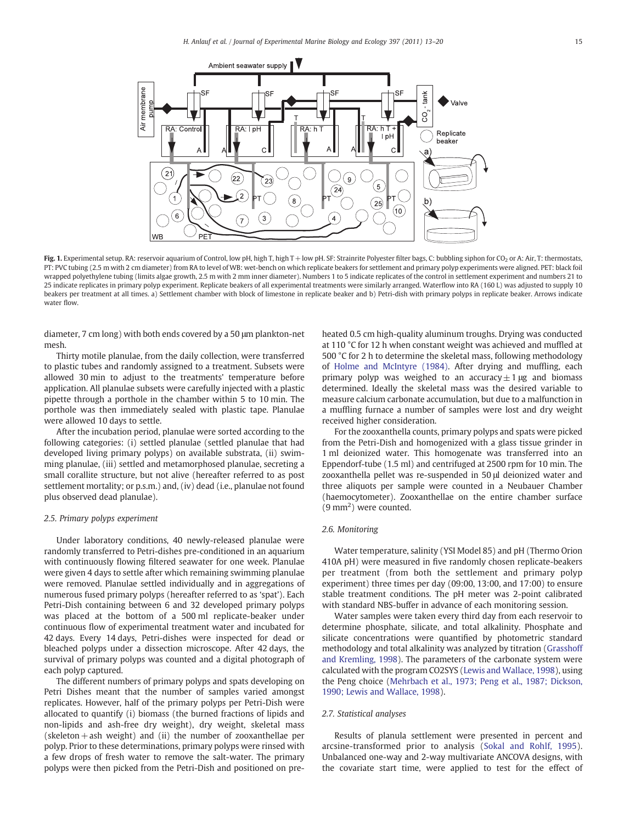<span id="page-2-0"></span>

Fig. 1. Experimental setup. RA: reservoir aquarium of Control, low pH, high T+low pH. SF: Strainrite Polyester filter bags, C: bubbling siphon for CO<sub>2</sub> or A: Air, T: thermostats, PT: PVC tubing (2.5 m with 2 cm diameter) from RA to level of WB: wet-bench on which replicate beakers for settlement and primary polyp experiments were aligned. PET: black foil wrapped polyethylene tubing (limits algae growth, 2.5 m with 2 mm inner diameter). Numbers 1 to 5 indicate replicates of the control in settlement experiment and numbers 21 to 25 indicate replicates in primary polyp experiment. Replicate beakers of all experimental treatments were similarly arranged. Waterflow into RA (160 L) was adjusted to supply 10 beakers per treatment at all times. a) Settlement chamber with block of limestone in replicate beaker and b) Petri-dish with primary polyps in replicate beaker. Arrows indicate water flow.

diameter, 7 cm long) with both ends covered by a 50 μm plankton-net mesh.

Thirty motile planulae, from the daily collection, were transferred to plastic tubes and randomly assigned to a treatment. Subsets were allowed 30 min to adjust to the treatments' temperature before application. All planulae subsets were carefully injected with a plastic pipette through a porthole in the chamber within 5 to 10 min. The porthole was then immediately sealed with plastic tape. Planulae were allowed 10 days to settle.

After the incubation period, planulae were sorted according to the following categories: (i) settled planulae (settled planulae that had developed living primary polyps) on available substrata, (ii) swimming planulae, (iii) settled and metamorphosed planulae, secreting a small corallite structure, but not alive (hereafter referred to as post settlement mortality; or p.s.m.) and, (iv) dead (i.e., planulae not found plus observed dead planulae).

#### 2.5. Primary polyps experiment

Under laboratory conditions, 40 newly-released planulae were randomly transferred to Petri-dishes pre-conditioned in an aquarium with continuously flowing filtered seawater for one week. Planulae were given 4 days to settle after which remaining swimming planulae were removed. Planulae settled individually and in aggregations of numerous fused primary polyps (hereafter referred to as 'spat'). Each Petri-Dish containing between 6 and 32 developed primary polyps was placed at the bottom of a 500 ml replicate-beaker under continuous flow of experimental treatment water and incubated for 42 days. Every 14 days, Petri-dishes were inspected for dead or bleached polyps under a dissection microscope. After 42 days, the survival of primary polyps was counted and a digital photograph of each polyp captured.

The different numbers of primary polyps and spats developing on Petri Dishes meant that the number of samples varied amongst replicates. However, half of the primary polyps per Petri-Dish were allocated to quantify (i) biomass (the burned fractions of lipids and non-lipids and ash-free dry weight), dry weight, skeletal mass (skeleton + ash weight) and (ii) the number of zooxanthellae per polyp. Prior to these determinations, primary polyps were rinsed with a few drops of fresh water to remove the salt-water. The primary polyps were then picked from the Petri-Dish and positioned on preheated 0.5 cm high-quality aluminum troughs. Drying was conducted at 110 °C for 12 h when constant weight was achieved and muffled at 500 °C for 2 h to determine the skeletal mass, following methodology of [Holme and McIntyre \(1984\).](#page-6-0) After drying and muffling, each primary polyp was weighed to an accuracy  $\pm$  1  $\mu$ g and biomass determined. Ideally the skeletal mass was the desired variable to measure calcium carbonate accumulation, but due to a malfunction in a muffling furnace a number of samples were lost and dry weight received higher consideration.

For the zooxanthella counts, primary polyps and spats were picked from the Petri-Dish and homogenized with a glass tissue grinder in 1 ml deionized water. This homogenate was transferred into an Eppendorf-tube (1.5 ml) and centrifuged at 2500 rpm for 10 min. The zooxanthella pellet was re-suspended in 50 μl deionized water and three aliquots per sample were counted in a Neubauer Chamber (haemocytometer). Zooxanthellae on the entire chamber surface  $(9 \text{ mm}^2)$  were counted.

### 2.6. Monitoring

Water temperature, salinity (YSI Model 85) and pH (Thermo Orion 410A pH) were measured in five randomly chosen replicate-beakers per treatment (from both the settlement and primary polyp experiment) three times per day (09:00, 13:00, and 17:00) to ensure stable treatment conditions. The pH meter was 2-point calibrated with standard NBS-buffer in advance of each monitoring session.

Water samples were taken every third day from each reservoir to determine phosphate, silicate, and total alkalinity. Phosphate and silicate concentrations were quantified by photometric standard methodology and total alkalinity was analyzed by titration [\(Grasshoff](#page-6-0) [and Kremling, 1998](#page-6-0)). The parameters of the carbonate system were calculated with the program CO2SYS ([Lewis and Wallace, 1998](#page-6-0)), using the Peng choice ([Mehrbach et al., 1973; Peng et al., 1987; Dickson,](#page-6-0) [1990; Lewis and Wallace, 1998](#page-6-0)).

#### 2.7. Statistical analyses

Results of planula settlement were presented in percent and arcsine-transformed prior to analysis ([Sokal and Rohlf, 1995](#page-7-0)). Unbalanced one-way and 2-way multivariate ANCOVA designs, with the covariate start time, were applied to test for the effect of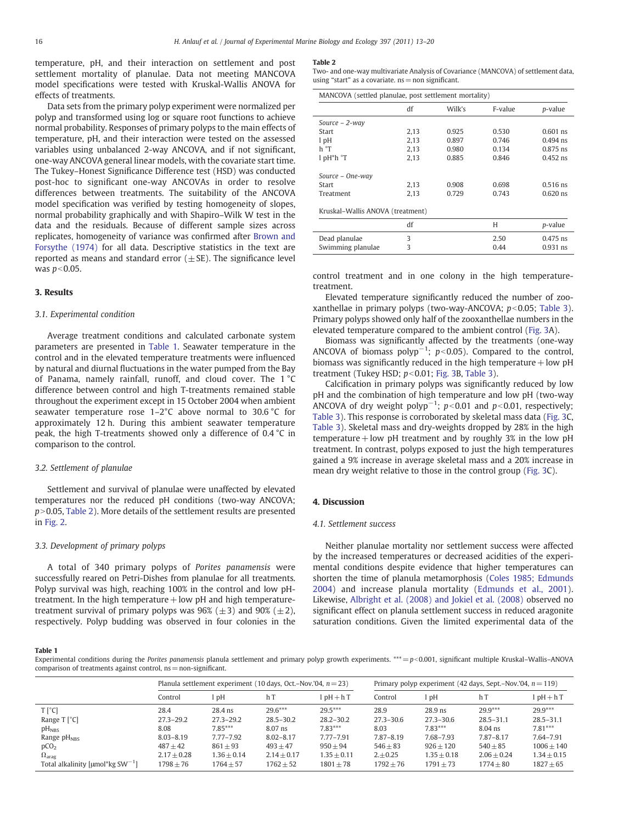temperature, pH, and their interaction on settlement and post settlement mortality of planulae. Data not meeting MANCOVA model specifications were tested with Kruskal-Wallis ANOVA for effects of treatments.

Data sets from the primary polyp experiment were normalized per polyp and transformed using log or square root functions to achieve normal probability. Responses of primary polyps to the main effects of temperature, pH, and their interaction were tested on the assessed variables using unbalanced 2-way ANCOVA, and if not significant, one-way ANCOVA general linear models, with the covariate start time. The Tukey–Honest Significance Difference test (HSD) was conducted post-hoc to significant one-way ANCOVAs in order to resolve differences between treatments. The suitability of the ANCOVA model specification was verified by testing homogeneity of slopes, normal probability graphically and with Shapiro–Wilk W test in the data and the residuals. Because of different sample sizes across replicates, homogeneity of variance was confirmed after [Brown and](#page-6-0) [Forsythe \(1974\)](#page-6-0) for all data. Descriptive statistics in the text are reported as means and standard error  $(\pm S$ E). The significance level was  $p<0.05$ .

# 3. Results

# 3.1. Experimental condition

Average treatment conditions and calculated carbonate system parameters are presented in Table 1. Seawater temperature in the control and in the elevated temperature treatments were influenced by natural and diurnal fluctuations in the water pumped from the Bay of Panama, namely rainfall, runoff, and cloud cover. The 1 °C difference between control and high T-treatments remained stable throughout the experiment except in 15 October 2004 when ambient seawater temperature rose 1–2°C above normal to 30.6 °C for approximately 12 h. During this ambient seawater temperature peak, the high T-treatments showed only a difference of 0.4 °C in comparison to the control.

#### 3.2. Settlement of planulae

Settlement and survival of planulae were unaffected by elevated temperatures nor the reduced pH conditions (two-way ANCOVA;  $p$  > 0.05, Table 2). More details of the settlement results are presented in [Fig. 2.](#page-4-0)

#### 3.3. Development of primary polyps

A total of 340 primary polyps of Porites panamensis were successfully reared on Petri-Dishes from planulae for all treatments. Polyp survival was high, reaching 100% in the control and low pHtreatment. In the high temperature+low pH and high temperaturetreatment survival of primary polyps was  $96\% (\pm 3)$  and  $90\% (\pm 2)$ , respectively. Polyp budding was observed in four colonies in the

#### Table 2

Two- and one-way multivariate Analysis of Covariance (MANCOVA) of settlement data, using "start" as a covariate.  $ns = non$  significant.

| MANCOVA (settled planulae, post settlement mortality) |      |        |         |                 |  |  |
|-------------------------------------------------------|------|--------|---------|-----------------|--|--|
|                                                       | df   | Wilk's | F-value | p-value         |  |  |
| Source $-2$ -way                                      |      |        |         |                 |  |  |
| Start                                                 | 2,13 | 0.925  | 0.530   | $0.601$ ns      |  |  |
| $1$ pH                                                | 2,13 | 0.897  | 0.746   | $0.494$ ns      |  |  |
| h °T                                                  | 2.13 | 0.980  | 0.134   | $0.875$ ns      |  |  |
| $l$ pH*h $\degree T$                                  | 2.13 | 0.885  | 0.846   | $0.452$ ns      |  |  |
|                                                       |      |        |         |                 |  |  |
| Source - One-way                                      |      |        |         |                 |  |  |
| Start                                                 | 2.13 | 0.908  | 0.698   | $0.516$ ns      |  |  |
| Treatment                                             | 2.13 | 0.729  | 0.743   | $0.620$ ns      |  |  |
|                                                       |      |        |         |                 |  |  |
| Kruskal-Wallis ANOVA (treatment)                      |      |        |         |                 |  |  |
|                                                       | df   |        | H       | <i>p</i> -value |  |  |
| Dead planulae                                         | 3    |        | 2.50    | $0.475$ ns      |  |  |
| Swimming planulae                                     | 3    |        | 0.44    | $0.931$ ns      |  |  |

control treatment and in one colony in the high temperaturetreatment.

Elevated temperature significantly reduced the number of zooxanthellae in primary polyps (two-way-ANCOVA;  $p<0.05$ ; [Table 3](#page-4-0)). Primary polyps showed only half of the zooxanthellae numbers in the elevated temperature compared to the ambient control ([Fig. 3](#page-4-0)A).

Biomass was significantly affected by the treatments (one-way ANCOVA of biomass polyp<sup>-1</sup>;  $p$ <0.05). Compared to the control, biomass was significantly reduced in the high temperature  $+$  low pH treatment (Tukey HSD;  $p<0.01$ ; [Fig. 3B](#page-4-0), [Table 3](#page-4-0)).

Calcification in primary polyps was significantly reduced by low pH and the combination of high temperature and low pH (two-way ANCOVA of dry weight polyp<sup>-1</sup>;  $p$ <0.01 and  $p$ <0.01, respectively; [Table 3\)](#page-4-0). This response is corroborated by skeletal mass data [\(Fig. 3](#page-4-0)C, [Table 3](#page-4-0)). Skeletal mass and dry-weights dropped by 28% in the high  $temperature + low$  pH treatment and by roughly 3% in the low pH treatment. In contrast, polyps exposed to just the high temperatures gained a 9% increase in average skeletal mass and a 20% increase in mean dry weight relative to those in the control group ([Fig. 3](#page-4-0)C).

# 4. Discussion

#### 4.1. Settlement success

Neither planulae mortality nor settlement success were affected by the increased temperatures or decreased acidities of the experimental conditions despite evidence that higher temperatures can shorten the time of planula metamorphosis ([Coles 1985; Edmunds](#page-6-0) [2004](#page-6-0)) and increase planula mortality ([Edmunds et al., 2001](#page-6-0)). Likewise, [Albright et al. \(2008\) and Jokiel et al. \(2008\)](#page-5-0) observed no significant effect on planula settlement success in reduced aragonite saturation conditions. Given the limited experimental data of the

#### Table 1

Experimental conditions during the Porites panamensis planula settlement and primary polyp growth experiments. \*\*\* = p<0.001, significant multiple Kruskal-Wallis-ANOVA comparison of treatments against control,  $ns = non-significant$ .

|                                       | Planula settlement experiment (10 days, Oct.–Nov.'04, $n = 23$ ) |               |               | Primary polyp experiment (42 days, Sept.–Nov.'04, $n = 119$ ) |               |               |               |               |
|---------------------------------------|------------------------------------------------------------------|---------------|---------------|---------------------------------------------------------------|---------------|---------------|---------------|---------------|
|                                       | Control                                                          | . pH          | hT            | $l$ $pH + hT$                                                 | Control       | DH            | hT            | $1pH + hT$    |
| $T[^{\circ}C]$                        | 28.4                                                             | 28.4 ns       | $29.6***$     | $29.5***$                                                     | 28.9          | $28.9$ ns     | $29.9***$     | $29.9***$     |
| Range $T$ [ $^{\circ}$ C]             | $27.3 - 29.2$                                                    | $27.3 - 29.2$ | $28.5 - 30.2$ | $28.2 - 30.2$                                                 | $27.3 - 30.6$ | $27.3 - 30.6$ | $28.5 - 31.1$ | $28.5 - 31.1$ |
| $pH_{NBS}$                            | 8.08                                                             | $7.85***$     | $8.07$ ns     | $7.83***$                                                     | 8.03          | $7.83***$     | $8.04$ ns     | $7.81***$     |
| Range $pH_{NBS}$                      | $8.03 - 8.19$                                                    | $7.77 - 7.92$ | $8.02 - 8.17$ | $7.77 - 7.91$                                                 | 7.87-8.19     | 7.68-7.93     | 7.87-8.17     | 7.64-7.91     |
| pCO <sub>2</sub>                      | $487 + 42$                                                       | $861 + 93$    | $493 + 47$    | $950 + 94$                                                    | $546 + 83$    | $926 + 120$   | $540 + 85$    | $1006 + 140$  |
| $\Omega_{\text{area}}$                | $2.17 + 0.28$                                                    | $1.36 + 0.14$ | $2.14 + 0.17$ | $1.35 + 0.11$                                                 | $2+0.25$      | $1.35 + 0.18$ | $2.06 + 0.24$ | $1.34 + 0.15$ |
| Total alkalinity [µmol*kg $SW^{-1}$ ] | $1798 + 76$                                                      | $1764 + 57$   | $1762 + 52$   | $1801 + 78$                                                   | $1792 + 76$   | $1791 + 73$   | $1774 + 80$   | $1827 + 65$   |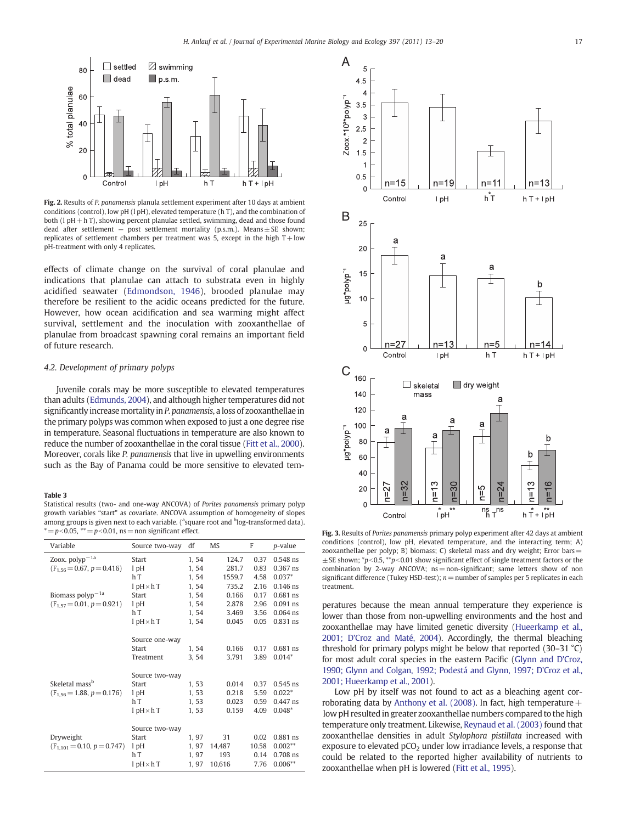<span id="page-4-0"></span>

Fig. 2. Results of P. panamensis planula settlement experiment after 10 days at ambient conditions (control), low pH (l pH), elevated temperature (h T), and the combination of both (l pH+h T), showing percent planulae settled, swimming, dead and those found dead after settlement — post settlement mortality (p.s.m.). Means  $\pm$  SE shown; replicates of settlement chambers per treatment was 5, except in the high T+low pH-treatment with only 4 replicates.

effects of climate change on the survival of coral planulae and indications that planulae can attach to substrata even in highly acidified seawater ([Edmondson, 1946\)](#page-6-0), brooded planulae may therefore be resilient to the acidic oceans predicted for the future. However, how ocean acidification and sea warming might affect survival, settlement and the inoculation with zooxanthellae of planulae from broadcast spawning coral remains an important field of future research.

# 4.2. Development of primary polyps

Juvenile corals may be more susceptible to elevated temperatures than adults ([Edmunds, 2004\)](#page-6-0), and although higher temperatures did not significantly increase mortality in P. panamensis, a loss of zooxanthellae in the primary polyps was common when exposed to just a one degree rise in temperature. Seasonal fluctuations in temperature are also known to reduce the number of zooxanthellae in the coral tissue [\(Fitt et al., 2000](#page-6-0)). Moreover, corals like P. panamensis that live in upwelling environments such as the Bay of Panama could be more sensitive to elevated tem-

#### Table 3

Statistical results (two- and one-way ANCOVA) of Porites panamensis primary polyp growth variables "start" as covariate. ANCOVA assumption of homogeneity of slopes among groups is given next to each variable. (<sup>a</sup>square root and <sup>b</sup>log-transformed data).  $* = p < 0.05$ ,  $* = p < 0.01$ , ns = non significant effect.

| Variable                        | Source two-way          | df    | <b>MS</b> | F     | <i>p</i> -value |
|---------------------------------|-------------------------|-------|-----------|-------|-----------------|
| Zoox. $polyp^{-1a}$             | Start                   | 1,54  | 124.7     | 0.37  | $0.548$ ns      |
| $(F_{1.56} = 0.67, p = 0.416)$  | $1$ pH                  | 1, 54 | 281.7     | 0.83  | $0.367$ ns      |
|                                 | h T                     | 1,54  | 1559.7    | 4.58  | $0.037*$        |
|                                 | $l$ pH $\times$ h T     | 1,54  | 735.2     | 2.16  | $0.146$ ns      |
| Biomass $polyp^{-1a}$           | <b>Start</b>            | 1,54  | 0.166     | 0.17  | $0.681$ ns      |
| $(F_{1.57} = 0.01, p = 0.921)$  | $1$ pH                  | 1, 54 | 2.878     | 2.96  | $0.091$ ns      |
|                                 | h T                     | 1, 54 | 3.469     | 3.56  | $0.064$ ns      |
|                                 | $l$ pH $\times$ h T     | 1, 54 | 0.045     | 0.05  | $0.831$ ns      |
|                                 | Source one-way<br>Start | 1,54  | 0.166     | 0.17  | $0.681$ ns      |
|                                 | Treatment               | 3, 54 | 3.791     | 3.89  | $0.014*$        |
|                                 | Source two-way          |       |           |       |                 |
| Skeletal mass <sup>b</sup>      | Start                   | 1, 53 | 0.014     | 0.37  | $0.545$ ns      |
| $(F_{1.56} = 1.88, p = 0.176)$  | $1$ pH                  | 1, 53 | 0.218     | 5.59  | $0.022*$        |
|                                 | h T                     | 1,53  | 0.023     | 0.59  | $0.447$ ns      |
|                                 | $l$ pH $\times$ h T     | 1,53  | 0.159     | 4.09  | $0.048*$        |
|                                 | Source two-way          |       |           |       |                 |
| Dryweight                       | Start                   | 1,97  | 31        | 0.02  | 0.881 ns        |
| $(F_{1,101} = 0.10, p = 0.747)$ | $1$ pH                  | 1,97  | 14,487    | 10.58 | $0.002**$       |
|                                 | h T                     | 1.97  | 193       | 0.14  | $0.708$ ns      |
|                                 | $l$ pH $\times$ h T     | 1,97  | 10,616    | 7.76  | $0.006***$      |



Fig. 3. Results of Porites panamensis primary polyp experiment after 42 days at ambient conditions (control), low pH, elevated temperature, and the interacting term; A) zooxanthellae per polyp; B) biomass; C) skeletal mass and dry weight; Error bars  $=$  $\pm$  SE shown; \*p<0.5, \*\*p<0.01 show significant effect of single treatment factors or the combination by 2-way ANCOVA;  $ns = non-significant$ ; same letters show of non significant difference (Tukey HSD-test);  $n=$  number of samples per 5 replicates in each treatment.

peratures because the mean annual temperature they experience is lower than those from non-upwelling environments and the host and zooxanthellae may have limited genetic diversity ([Hueerkamp et al.,](#page-6-0) [2001; D'Croz and Maté, 2004](#page-6-0)). Accordingly, the thermal bleaching threshold for primary polyps might be below that reported (30–31 °C) for most adult coral species in the eastern Pacific [\(Glynn and D'Croz,](#page-6-0) [1990; Glynn and Colgan, 1992; Podestá and Glynn, 1997; D'Croz et al.,](#page-6-0) [2001; Hueerkamp et al., 2001](#page-6-0)).

Low pH by itself was not found to act as a bleaching agent cor-roborating data by [Anthony et al. \(2008\)](#page-5-0). In fact, high temperature  $+$ low pH resulted in greater zooxanthellae numbers compared to the high temperature only treatment. Likewise, [Reynaud et al. \(2003\)](#page-7-0) found that zooxanthellae densities in adult Stylophora pistillata increased with exposure to elevated  $pCO<sub>2</sub>$  under low irradiance levels, a response that could be related to the reported higher availability of nutrients to zooxanthellae when pH is lowered ([Fitt et al., 1995](#page-6-0)).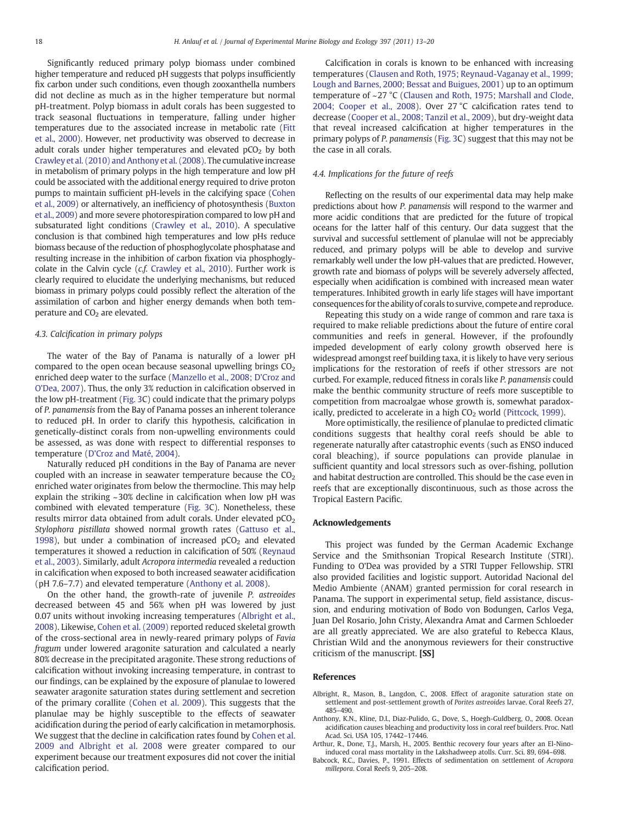<span id="page-5-0"></span>Significantly reduced primary polyp biomass under combined higher temperature and reduced pH suggests that polyps insufficiently fix carbon under such conditions, even though zooxanthella numbers did not decline as much as in the higher temperature but normal pH-treatment. Polyp biomass in adult corals has been suggested to track seasonal fluctuations in temperature, falling under higher temperatures due to the associated increase in metabolic rate [\(Fitt](#page-6-0) [et al., 2000](#page-6-0)). However, net productivity was observed to decrease in adult corals under higher temperatures and elevated  $pCO<sub>2</sub>$  by both [Crawley et al. \(2010\) and Anthony et al. \(2008\).](#page-6-0) The cumulative increase in metabolism of primary polyps in the high temperature and low pH could be associated with the additional energy required to drive proton pumps to maintain sufficient pH-levels in the calcifying space [\(Cohen](#page-6-0) [et al., 2009\)](#page-6-0) or alternatively, an inefficiency of photosynthesis [\(Buxton](#page-6-0) [et al., 2009\)](#page-6-0) and more severe photorespiration compared to low pH and subsaturated light conditions [\(Crawley et al., 2010\)](#page-6-0). A speculative conclusion is that combined high temperatures and low pHs reduce biomass because of the reduction of phosphoglycolate phosphatase and resulting increase in the inhibition of carbon fixation via phosphogly-colate in the Calvin cycle (c.f. [Crawley et al., 2010](#page-6-0)). Further work is clearly required to elucidate the underlying mechanisms, but reduced biomass in primary polyps could possibly reflect the alteration of the assimilation of carbon and higher energy demands when both temperature and  $CO<sub>2</sub>$  are elevated.

### 4.3. Calcification in primary polyps

The water of the Bay of Panama is naturally of a lower pH compared to the open ocean because seasonal upwelling brings  $CO<sub>2</sub>$ enriched deep water to the surface ([Manzello et al., 2008; D'Croz and](#page-6-0) [O'Dea, 2007](#page-6-0)). Thus, the only 3% reduction in calcification observed in the low pH-treatment [\(Fig. 3](#page-4-0)C) could indicate that the primary polyps of P. panamensis from the Bay of Panama posses an inherent tolerance to reduced pH. In order to clarify this hypothesis, calcification in genetically-distinct corals from non-upwelling environments could be assessed, as was done with respect to differential responses to temperature [\(D'Croz and Maté, 2004](#page-6-0)).

Naturally reduced pH conditions in the Bay of Panama are never coupled with an increase in seawater temperature because the  $CO<sub>2</sub>$ enriched water originates from below the thermocline. This may help explain the striking ~30% decline in calcification when low pH was combined with elevated temperature [\(Fig. 3C](#page-4-0)). Nonetheless, these results mirror data obtained from adult corals. Under elevated  $pCO<sub>2</sub>$ Stylophora pistillata showed normal growth rates ([Gattuso et al.,](#page-6-0) [1998\)](#page-6-0), but under a combination of increased  $pCO<sub>2</sub>$  and elevated temperatures it showed a reduction in calcification of 50% [\(Reynaud](#page-7-0) [et al., 2003\)](#page-7-0). Similarly, adult Acropora intermedia revealed a reduction in calcification when exposed to both increased seawater acidification (pH 7.6–7.7) and elevated temperature (Anthony et al. 2008).

On the other hand, the growth-rate of juvenile P. astreoides decreased between 45 and 56% when pH was lowered by just 0.07 units without invoking increasing temperatures (Albright et al., 2008). Likewise, [Cohen et al. \(2009\)](#page-6-0) reported reduced skeletal growth of the cross-sectional area in newly-reared primary polyps of Favia fragum under lowered aragonite saturation and calculated a nearly 80% decrease in the precipitated aragonite. These strong reductions of calcification without invoking increasing temperature, in contrast to our findings, can be explained by the exposure of planulae to lowered seawater aragonite saturation states during settlement and secretion of the primary corallite ([Cohen et al. 2009](#page-6-0)). This suggests that the planulae may be highly susceptible to the effects of seawater acidification during the period of early calcification in metamorphosis. We suggest that the decline in calcification rates found by [Cohen et al.](#page-6-0) [2009 and Albright et al. 2008](#page-6-0) were greater compared to our experiment because our treatment exposures did not cover the initial calcification period.

Calcification in corals is known to be enhanced with increasing temperatures ([Clausen and Roth, 1975; Reynaud-Vaganay et al., 1999;](#page-6-0) [Lough and Barnes, 2000; Bessat and Buigues, 2001](#page-6-0)) up to an optimum temperature of ~27 °C [\(Clausen and Roth, 1975; Marshall and Clode,](#page-6-0) [2004; Cooper et al., 2008\)](#page-6-0). Over 27 °C calcification rates tend to decrease ([Cooper et al., 2008; Tanzil et al., 2009](#page-6-0)), but dry-weight data that reveal increased calcification at higher temperatures in the primary polyps of P. panamensis [\(Fig. 3](#page-4-0)C) suggest that this may not be the case in all corals.

# 4.4. Implications for the future of reefs

Reflecting on the results of our experimental data may help make predictions about how P. panamensis will respond to the warmer and more acidic conditions that are predicted for the future of tropical oceans for the latter half of this century. Our data suggest that the survival and successful settlement of planulae will not be appreciably reduced, and primary polyps will be able to develop and survive remarkably well under the low pH-values that are predicted. However, growth rate and biomass of polyps will be severely adversely affected, especially when acidification is combined with increased mean water temperatures. Inhibited growth in early life stages will have important consequences for the ability of corals to survive, compete and reproduce.

Repeating this study on a wide range of common and rare taxa is required to make reliable predictions about the future of entire coral communities and reefs in general. However, if the profoundly impeded development of early colony growth observed here is widespread amongst reef building taxa, it is likely to have very serious implications for the restoration of reefs if other stressors are not curbed. For example, reduced fitness in corals like P. panamensis could make the benthic community structure of reefs more susceptible to competition from macroalgae whose growth is, somewhat paradoxically, predicted to accelerate in a high  $CO<sub>2</sub>$  world ([Pittcock, 1999](#page-6-0)).

More optimistically, the resilience of planulae to predicted climatic conditions suggests that healthy coral reefs should be able to regenerate naturally after catastrophic events (such as ENSO induced coral bleaching), if source populations can provide planulae in sufficient quantity and local stressors such as over-fishing, pollution and habitat destruction are controlled. This should be the case even in reefs that are exceptionally discontinuous, such as those across the Tropical Eastern Pacific.

#### Acknowledgements

This project was funded by the German Academic Exchange Service and the Smithsonian Tropical Research Institute (STRI). Funding to O'Dea was provided by a STRI Tupper Fellowship. STRI also provided facilities and logistic support. Autoridad Nacional del Medio Ambiente (ANAM) granted permission for coral research in Panama. The support in experimental setup, field assistance, discussion, and enduring motivation of Bodo von Bodungen, Carlos Vega, Juan Del Rosario, John Cristy, Alexandra Amat and Carmen Schloeder are all greatly appreciated. We are also grateful to Rebecca Klaus, Christian Wild and the anonymous reviewers for their constructive criticism of the manuscript. [SS]

#### References

- Albright, R., Mason, B., Langdon, C., 2008. Effect of aragonite saturation state on settlement and post-settlement growth of Porites astreoides larvae. Coral Reefs 27, 485–490.
- Anthony, K.N., Kline, D.I., Diaz-Pulido, G., Dove, S., Hoegh-Guldberg, O., 2008. Ocean acidification causes bleaching and productivity loss in coral reef builders. Proc. Natl Acad. Sci. USA 105, 17442–17446.
- Arthur, R., Done, T.J., Marsh, H., 2005. Benthic recovery four years after an El-Ninoinduced coral mass mortality in the Lakshadweep atolls. Curr. Sci. 89, 694–698.
- Babcock, R.C., Davies, P., 1991. Effects of sedimentation on settlement of Acropora millepora. Coral Reefs 9, 205–208.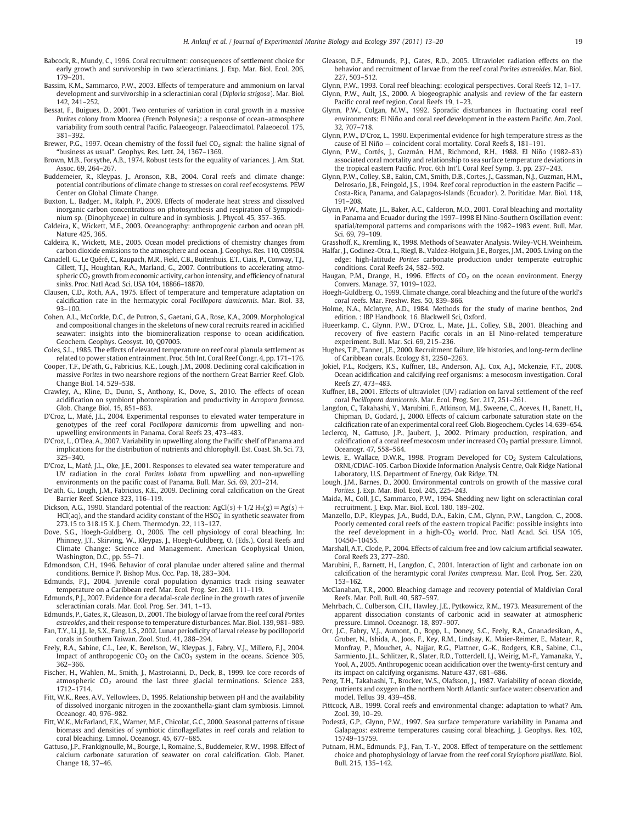- <span id="page-6-0"></span>Babcock, R., Mundy, C., 1996. Coral recruitment: consequences of settlement choice for early growth and survivorship in two scleractinians. J. Exp. Mar. Biol. Ecol. 206, 179–201.
- Bassim, K.M., Sammarco, P.W., 2003. Effects of temperature and ammonium on larval development and survivorship in a scleractinian coral (Diploria strigosa). Mar. Biol. 142, 241–252.
- Bessat, F., Buigues, D., 2001. Two centuries of variation in coral growth in a massive Porites colony from Moorea (French Polynesia): a response of ocean–atmosphere variability from south central Pacific. Palaeogeogr. Palaeoclimatol. Palaeoecol. 175, 381–392.
- Brewer, P.G., 1997. Ocean chemistry of the fossil fuel  $CO<sub>2</sub>$  signal: the haline signal of "business as usual". Geophys. Res. Lett. 24, 1367–1369.
- Brown, M.B., Forsythe, A.B., 1974. Robust tests for the equality of variances. J. Am. Stat. Assoc. 69, 264–267.
- Buddemeier, R., Kleypas, J., Aronson, R.B., 2004. Coral reefs and climate change: potential contributions of climate change to stresses on coral reef ecosystems. PEW Center on Global Climate Change.
- Buxton, L., Badger, M., Ralph, P., 2009. Effects of moderate heat stress and dissolved inorganic carbon concentrations on photosynthesis and respiration of Sympiodinium sp. (Dinophyceae) in culture and in symbiosis. J. Phycol. 45, 357–365.
- Caldeira, K., Wickett, M.E., 2003. Oceanography: anthropogenic carbon and ocean pH. Nature 425, 365.
- Caldeira, K., Wickett, M.E., 2005. Ocean model predictions of chemistry changes from carbon dioxide emissions to the atmosphere and ocean. J. Geophys. Res. 110, C09S04.
- Canadell, G., Le Quéré, C., Raupach, M.R., Field, C.B., Buitenhuis, E.T., Ciais, P., Conway, T.J., Gillett, T.J., Houghtan, R.A., Marland, G., 2007. Contributions to accelerating atmospheric CO<sub>2</sub> growth from economic activity, carbon intensity, and efficiency of natural sinks. Proc. Natl Acad. Sci. USA 104, 18866–18870.
- Clausen, C.D., Roth, A.A., 1975. Effect of temperature and temperature adaptation on calcification rate in the hermatypic coral Pocillopora damicornis. Mar. Biol. 33, 93–100.
- Cohen, A.L., McCorkle, D.C., de Putron, S., Gaetani, G.A., Rose, K.A., 2009. Morphological and compositional changes in the skeletons of new coral recruits reared in acidified seawater: insights into the biomineralization response to ocean acidification. Geochem. Geophys. Geosyst. 10, Q07005.
- Coles, S.L., 1985. The effects of elevated temperature on reef coral planula settlement as related to power station entrainment. Proc. 5th Int. Coral Reef Congr. 4, pp. 171–176.
- Cooper, T.F., De'ath, G., Fabricius, K.E., Lough, J.M., 2008. Declining coral calcification in massive Porites in two nearshore regions of the northern Great Barrier Reef. Glob. Change Biol. 14, 529–538.
- Crawley, A., Kline, D., Dunn, S., Anthony, K., Dove, S., 2010. The effects of ocean acidification on symbiont photorespiration and productivity in Acropora formosa. Glob. Change Biol. 15, 851–863.
- D'Croz, L., Maté, J.L., 2004. Experimental responses to elevated water temperature in genotypes of the reef coral Pocillopora damicornis from upwelling and nonupwelling environments in Panama. Coral Reefs 23, 473–483.
- D'Croz, L., O'Dea, A., 2007. Variability in upwelling along the Pacific shelf of Panama and implications for the distribution of nutrients and chlorophyll. Est. Coast. Sh. Sci. 73, 325–340.
- D'Croz, L., Maté, J.L., Oke, J.E., 2001. Responses to elevated sea water temperature and UV radiation in the coral Porites lobata from upwelling and non-upwelling environments on the pacific coast of Panama. Bull. Mar. Sci. 69, 203–214.
- De'ath, G., Lough, J.M., Fabricius, K.E., 2009. Declining coral calcification on the Great Barrier Reef. Science 323, 116–119.
- Dickson, A.G., 1990. Standard potential of the reaction: AgCl(s) +  $1/2$  H<sub>2</sub>(g) = Ag(s) + HCl(aq), and the standard acidity constant of the HSO $_4^-$  in synthetic seawater from 273.15 to 318.15 K. J. Chem. Thermodyn. 22, 113–127.
- Dove, S.G., Hoegh-Guldberg, O., 2006. The cell physiology of coral bleaching. In: Phinney, J.T., Skirving, W., Kleypas, J., Hoegh-Guldberg, O. (Eds.), Coral Reefs and Climate Change: Science and Management. American Geophysical Union, Washington, D.C., pp. 55–71.
- Edmondson, C.H., 1946. Behavior of coral planulae under altered saline and thermal conditions. Bernice P. Bishop Mus. Occ. Pap. 18, 283–304.
- Edmunds, P.J., 2004. Juvenile coral population dynamics track rising seawater temperature on a Caribbean reef. Mar. Ecol. Prog. Ser. 269, 111–119.
- Edmunds, P.J., 2007. Evidence for a decadal-scale decline in the growth rates of juvenile scleractinian corals. Mar. Ecol. Prog. Ser. 341, 1–13.
- Edmunds, P., Gates, R., Gleason, D., 2001. The biology of larvae from the reef coral Porites astreoides, and their response to temperature disturbances. Mar. Biol. 139, 981–989.
- Fan, T.Y., Li, J.J., Ie, S.X., Fang, L.S., 2002. Lunar periodicity of larval release by pocilloporid corals in Southern Taiwan. Zool. Stud. 41, 288–294.
- Feely, R.A., Sabine, C.L., Lee, K., Berelson, W., Kleypas, J., Fabry, V.J., Millero, F.J., 2004. Impact of anthropogenic  $CO<sub>2</sub>$  on the CaCO<sub>3</sub> system in the oceans. Science 305, 362–366.
- Fischer, H., Wahlen, M., Smith, J., Mastroianni, D., Deck, B., 1999. Ice core records of atmospheric CO<sub>2</sub> around the last three glacial terminations. Science 283, 1712–1714.
- Fitt, W.K., Rees, A.V., Yellowlees, D., 1995. Relationship between pH and the availability of dissolved inorganic nitrogen in the zooxanthella-giant clam symbiosis. Limnol. Oceanogr. 40, 976–982.
- Fitt, W.K., McFarland, F.K., Warner, M.E., Chicolat, G.C., 2000. Seasonal patterns of tissue biomass and densities of symbiotic dinoflagellates in reef corals and relation to coral bleaching. Limnol. Oceanogr. 45, 677–685.
- Gattuso, J.P., Frankignoulle, M., Bourge, I., Romaine, S., Buddemeier, R.W., 1998. Effect of calcium carbonate saturation of seawater on coral calcification. Glob. Planet. Change 18, 37–46.
- Gleason, D.F., Edmunds, P.J., Gates, R.D., 2005. Ultraviolet radiation effects on the behavior and recruitment of larvae from the reef coral Porites astreoides. Mar. Biol. 227, 503–512.
- Glynn, P.W., 1993. Coral reef bleaching: ecological perspectives. Coral Reefs 12, 1–17. Glynn, P.W., Ault, J.S., 2000. A biogeographic analysis and review of the far eastern
- Pacific coral reef region. Coral Reefs 19, 1–23. Glynn, P.W., Colgan, M.W., 1992. Sporadic disturbances in fluctuating coral reef
- environments: El Niño and coral reef development in the eastern Pacific. Am. Zool. 32, 707–718.
- Glynn, P.W., D'Croz, L., 1990. Experimental evidence for high temperature stress as the cause of El Niño — coincident coral mortality. Coral Reefs 8, 181–191.
- Glynn, P.W., Cortés, J., Guzmán, H.M., Richmond, R.H., 1988. El Niño (1982–83) associated coral mortality and relationship to sea surface temperature deviations in the tropical eastern Pacific. Proc. 6th Int'l. Coral Reef Symp. 3, pp. 237–243.
- Glynn, P.W., Colley, S.B., Eakin, C.M., Smith, D.B., Cortes, J., Gassman, N.J., Guzman, H.M., Delrosario, J.B., Feingold, J.S., 1994. Reef coral reproduction in the eastern Pacific — Costa-Rica, Panama, and Galapagos-Islands (Ecuador). 2. Poritidae. Mar. Biol. 118, 191–208.
- Glynn, P.W., Mate, J.L., Baker, A.C., Calderon, M.O., 2001. Coral bleaching and mortality in Panama and Ecuador during the 1997–1998 El Nino-Southern Oscillation event: spatial/temporal patterns and comparisons with the 1982–1983 event. Bull. Mar. Sci. 69, 79–109.
- Grasshoff, K., Kremling, K., 1998. Methods of Seawater Analysis. Wiley-VCH, Weinheim.
- Halfar, J., Godinez-Otra, L., Riegl, B., Valdez-Holguin, J.E., Borges, J.M., 2005. Living on the edge: high-latitude Porites carbonate production under temperate eutrophic conditions. Coral Reefs 24, 582–592.
- Haugan, P.M., Drange, H., 1996. Effects of  $CO<sub>2</sub>$  on the ocean environment. Energy Convers. Manage. 37, 1019–1022.
- Hoegh-Guldberg, O., 1999. Climate change, coral bleaching and the future of the world's coral reefs. Mar. Freshw. Res. 50, 839–866.
- Holme, N.A., McIntyre, A.D., 1984. Methods for the study of marine benthos, 2nd edition. : IBP Handbook, 16. Blackwell Sci, Oxford.
- Hueerkamp, C., Glynn, P.W., D'Croz, L., Mate, J.L., Colley, S.B., 2001. Bleaching and recovery of five eastern Pacific corals in an El Nino-related temperature experiment. Bull. Mar. Sci. 69, 215–236.
- Hughes, T.P., Tanner, J.E., 2000. Recruitment failure, life histories, and long-term decline of Caribbean corals. Ecology 81, 2250–2263.
- Jokiel, P.L., Rodgers, K.S., Kuffner, I.B., Anderson, A.J., Cox, A.J., Mckenzie, F.T., 2008. Ocean acidification and calcifying reef organisms: a mesocosm investigation. Coral Reefs 27, 473–483.
- Kuffner, I.B., 2001. Effects of ultraviolet (UV) radiation on larval settlement of the reef coral Pocillopora damicornis. Mar. Ecol. Prog. Ser. 217, 251–261.
- Langdon, C., Takahashi, Y., Marubini, F., Atkinson, M.J., Sweene, C., Aceves, H., Banett, H., Chipman, D., Godard, J., 2000. Effects of calcium carbonate saturation state on the calcification rate of an experimental coral reef. Glob. Biogeochem. Cycles 14, 639–654.
- Leclercq, N., Gattuso, J.P., Jaubert, J., 2002. Primary production, respiration, and calcification of a coral reef mesocosm under increased CO<sub>2</sub> partial pressure. Limnol. Oceanogr. 47, 558–564.
- Lewis, E., Wallace, D.W.R., 1998. Program Developed for  $CO<sub>2</sub>$  System Calculations, ORNL/CDIAC-105. Carbon Dioxide Information Analysis Centre, Oak Ridge National Laboratory, U.S. Department of Energy, Oak Ridge, TN.
- Lough, J.M., Barnes, D., 2000. Environmental controls on growth of the massive coral Porites. J. Exp. Mar. Biol. Ecol. 245, 225–243.
- Maida, M., Coll, J.C., Sammarco, P.W., 1994. Shedding new light on scleractinian coral recruitment. J. Exp. Mar. Biol. Ecol. 180, 189–202.
- Manzello, D.P., Kleypas, J.A., Budd, D.A., Eakin, C.M., Glynn, P.W., Langdon, C., 2008. Poorly cemented coral reefs of the eastern tropical Pacific: possible insights into the reef development in a high-CO<sub>2</sub> world. Proc. Natl Acad. Sci. USA 105, 10450–10455.
- Marshall, A.T., Clode, P., 2004. Effects of calcium free and low calcium artificial seawater. Coral Reefs 23, 277–280.
- Marubini, F., Barnett, H., Langdon, C., 2001. Interaction of light and carbonate ion on calcification of the heramtypic coral Porites compressa. Mar. Ecol. Prog. Ser. 220, 153–162.
- McClanahan, T.R., 2000. Bleaching damage and recovery potential of Maldivian Coral Reefs. Mar. Poll. Bull. 40, 587–597.
- Mehrbach, C., Culberson, C.H., Hawley, J.E., Pytkowicz, R.M., 1973. Measurement of the apparent dissociation constants of carbonic acid in seawater at atmospheric pressure. Limnol. Oceanogr. 18, 897–907.
- Orr, J.C., Fabry, V.J., Aumont, O., Bopp, L., Doney, S.C., Feely, R.A., Gnanadesikan, A., Gruber, N., Ishida, A., Joos, F., Key, R.M., Lindsay, K., Maier-Reimer, E., Matear, R., Monfray, P., Mouchet, A., Najjar, R.G., Plattner, G.-K., Rodgers, K.B., Sabine, C.L., Sarmiento, J.L., Schlitzer, R., Slater, R.D., Totterdell, I.J., Weirig, M.-F., Yamanaka, Y., Yool, A., 2005. Anthropogenic ocean acidification over the twenty-first century and its impact on calcifying organisms. Nature 437, 681–686.
- Peng, T.H., Takahashi, T., Brocker, W.S., Olafsson, J., 1987. Variability of ocean dioxide, nutrients and oxygen in the northern North Atlantic surface water: observation and model. Tellus 39, 439–458.
- Pittcock, A.B., 1999. Coral reefs and environmental change: adaptation to what? Am. Zool. 39, 10–29.
- Podestá, G.P., Glynn, P.W., 1997. Sea surface temperature variability in Panama and Galapagos: extreme temperatures causing coral bleaching. J. Geophys. Res. 102, 15749–15759.
- Putnam, H.M., Edmunds, P.J., Fan, T.-Y., 2008. Effect of temperature on the settlement choice and photophysiology of larvae from the reef coral Stylophora pistillata. Biol. Bull. 215, 135–142.